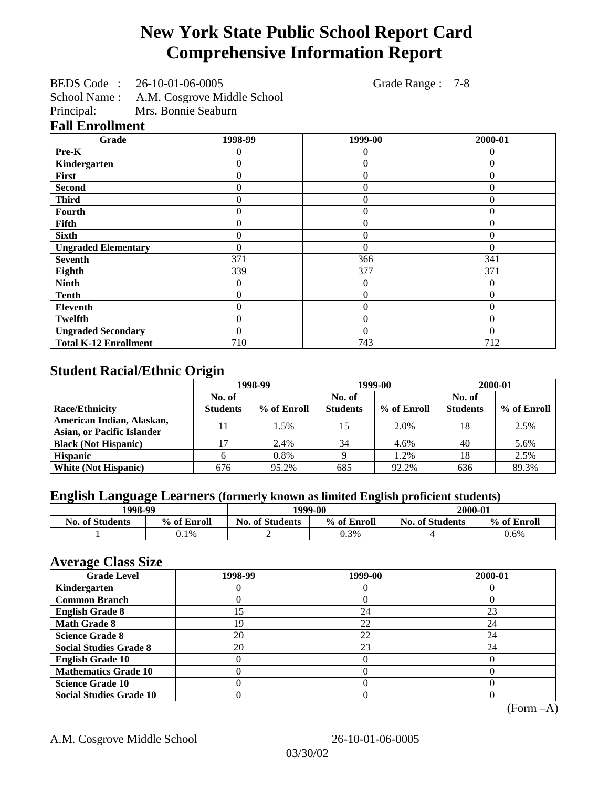# **New York State Public School Report Card Comprehensive Information Report**

| BEDS Code: 26-10-01-06-0005 | Grade Range : 7-8 |
|-----------------------------|-------------------|
|-----------------------------|-------------------|

School Name : A.M. Cosgrove Middle School<br>Principal: Mrs. Bonnie Seaburn Mrs. Bonnie Seaburn

#### **Fall Enrollment**

| Grade                        | 1998-99          | 1999-00        | 2000-01  |
|------------------------------|------------------|----------------|----------|
| Pre-K                        |                  | $\Omega$       |          |
| Kindergarten                 | 0                | $\Omega$       | 0        |
| First                        | 0                | $\theta$       | 0        |
| <b>Second</b>                | 0                | $\overline{0}$ | $\Omega$ |
| <b>Third</b>                 | 0                | 0              | 0        |
| Fourth                       | 0                | $\Omega$       | 0        |
| Fifth                        | 0                | $\theta$       | 0        |
| <b>Sixth</b>                 | 0                | $\overline{0}$ | 0        |
| <b>Ungraded Elementary</b>   | 0                | $\theta$       | $\theta$ |
| <b>Seventh</b>               | 371              | 366            | 341      |
| Eighth                       | 339              | 377            | 371      |
| <b>Ninth</b>                 | 0                | $\overline{0}$ | 0        |
| <b>Tenth</b>                 | $\boldsymbol{0}$ | $\overline{0}$ | 0        |
| Eleventh                     | $\theta$         | $\overline{0}$ | $\theta$ |
| <b>Twelfth</b>               | $\theta$         | $\overline{0}$ | $\Omega$ |
| <b>Ungraded Secondary</b>    | $\theta$         | $\theta$       | 0        |
| <b>Total K-12 Enrollment</b> | 710              | 743            | 712      |

## **Student Racial/Ethnic Origin**

|                                   | 1998-99         |             | 1999-00         |             | 2000-01         |             |
|-----------------------------------|-----------------|-------------|-----------------|-------------|-----------------|-------------|
|                                   | No. of          |             | No. of          |             |                 |             |
| <b>Race/Ethnicity</b>             | <b>Students</b> | % of Enroll | <b>Students</b> | % of Enroll | <b>Students</b> | % of Enroll |
| American Indian, Alaskan,         | 11              | 1.5%        | 15              | 2.0%        | 18              | 2.5%        |
| <b>Asian, or Pacific Islander</b> |                 |             |                 |             |                 |             |
| <b>Black (Not Hispanic)</b>       |                 | 2.4%        | 34              | 4.6%        | 40              | 5.6%        |
| <b>Hispanic</b>                   |                 | 0.8%        |                 | 1.2%        | 18              | 2.5%        |
| <b>White (Not Hispanic)</b>       | 676             | 95.2%       | 685             | 92.2%       | 636             | 89.3%       |

## **English Language Learners (formerly known as limited English proficient students)**

| 1998-99                |             | 1999-00                |             | 2000-01                |             |
|------------------------|-------------|------------------------|-------------|------------------------|-------------|
| <b>No. of Students</b> | % of Enroll | <b>No. of Students</b> | % of Enroll | <b>No. of Students</b> | % of Enroll |
|                        | $0.1\%$     |                        | 0.3%        |                        | 0.6%        |

#### **Average Class Size**

| <u>ਾ</u> ਰਾ<br><b>Grade Level</b> | 1998-99 | 1999-00 | 2000-01 |
|-----------------------------------|---------|---------|---------|
| Kindergarten                      |         |         |         |
| <b>Common Branch</b>              |         |         |         |
| <b>English Grade 8</b>            |         | 24      | 23      |
| <b>Math Grade 8</b>               | 19      | 22      | 24      |
| <b>Science Grade 8</b>            | 20      | 22      | 24      |
| <b>Social Studies Grade 8</b>     | 20      | 23      | 24      |
| <b>English Grade 10</b>           |         |         |         |
| <b>Mathematics Grade 10</b>       |         |         |         |
| <b>Science Grade 10</b>           |         |         |         |
| <b>Social Studies Grade 10</b>    |         |         |         |

(Form –A)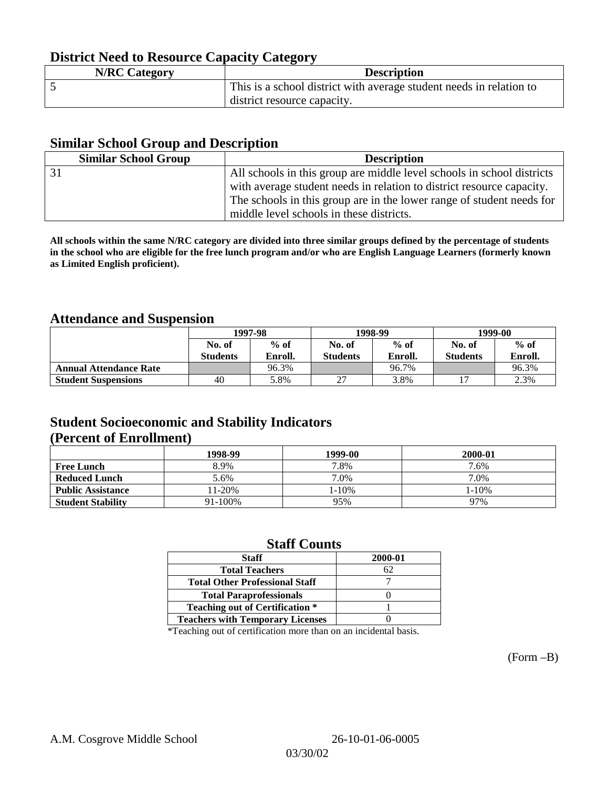## **District Need to Resource Capacity Category**

| <b>N/RC Category</b> | <b>Description</b>                                                  |
|----------------------|---------------------------------------------------------------------|
|                      | This is a school district with average student needs in relation to |
|                      | district resource capacity.                                         |

#### **Similar School Group and Description**

| <b>Similar School Group</b> | <b>Description</b>                                                     |
|-----------------------------|------------------------------------------------------------------------|
|                             | All schools in this group are middle level schools in school districts |
|                             | with average student needs in relation to district resource capacity.  |
|                             | The schools in this group are in the lower range of student needs for  |
|                             | middle level schools in these districts.                               |

**All schools within the same N/RC category are divided into three similar groups defined by the percentage of students in the school who are eligible for the free lunch program and/or who are English Language Learners (formerly known as Limited English proficient).**

#### **Attendance and Suspension**

|                               | 1997-98<br>$%$ of<br>No. of |                |                  | 1998-99 | 1999-00          |         |
|-------------------------------|-----------------------------|----------------|------------------|---------|------------------|---------|
|                               |                             |                | $%$ of<br>No. of |         | $%$ of<br>No. of |         |
|                               | <b>Students</b>             | <b>Enroll.</b> | <b>Students</b>  | Enroll. | <b>Students</b>  | Enroll. |
| <b>Annual Attendance Rate</b> |                             | 96.3%          |                  | 96.7%   |                  | 96.3%   |
| <b>Student Suspensions</b>    | 40                          | 5.8%           |                  | 3.8%    |                  | 2.3%    |

### **Student Socioeconomic and Stability Indicators (Percent of Enrollment)**

|                          | 1998-99 | 1999-00 | 2000-01 |
|--------------------------|---------|---------|---------|
| <b>Free Lunch</b>        | 8.9%    | 7.8%    | 7.6%    |
| <b>Reduced Lunch</b>     | 5.6%    | 7.0%    | 7.0%    |
| <b>Public Assistance</b> | 11-20%  | 1-10%   | 1-10%   |
| <b>Student Stability</b> | 91-100% | 95%     | 97%     |

#### **Staff Counts**

| <b>Staff</b>                            | 2000-01 |
|-----------------------------------------|---------|
| <b>Total Teachers</b>                   | 62      |
| <b>Total Other Professional Staff</b>   |         |
| <b>Total Paraprofessionals</b>          |         |
| <b>Teaching out of Certification *</b>  |         |
| <b>Teachers with Temporary Licenses</b> |         |

\*Teaching out of certification more than on an incidental basis.

(Form –B)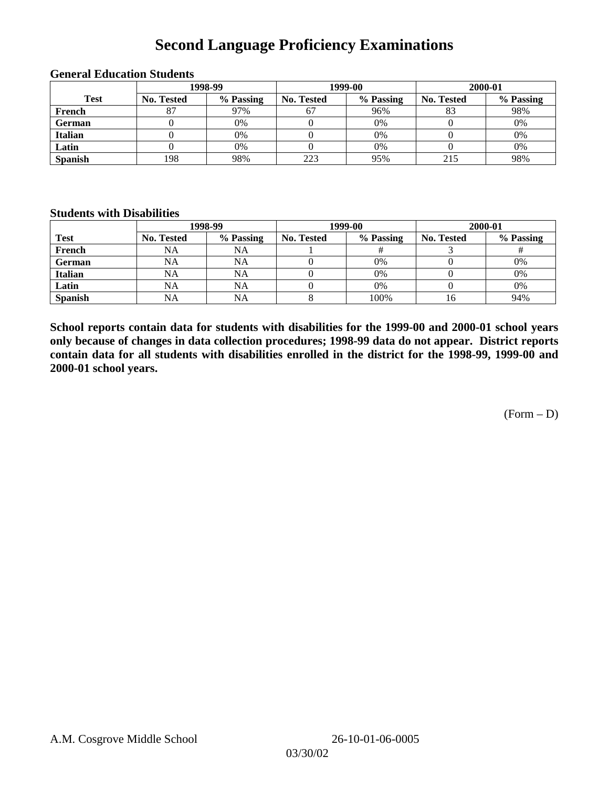## **Second Language Proficiency Examinations**

|                |            | 1998-99   |                   | 1999-00   | 2000-01           |           |
|----------------|------------|-----------|-------------------|-----------|-------------------|-----------|
| <b>Test</b>    | No. Tested | % Passing | <b>No. Tested</b> | % Passing | <b>No. Tested</b> | % Passing |
| French         |            | 97%       | 67                | 96%       | 83                | 98%       |
| <b>German</b>  |            | 0%        |                   | 0%        |                   | 0%        |
| <b>Italian</b> |            | 0%        |                   | $0\%$     |                   | 0%        |
| Latin          |            | 0%        |                   | 0%        |                   | 0%        |
| <b>Spanish</b> | 198        | 98%       | 223               | 95%       | 215               | 98%       |

#### **General Education Students**

#### **Students with Disabilities**

|                | 1998-99    |           |                   | 1999-00   | 2000-01    |           |
|----------------|------------|-----------|-------------------|-----------|------------|-----------|
| <b>Test</b>    | No. Tested | % Passing | <b>No. Tested</b> | % Passing | No. Tested | % Passing |
| French         | NA         | NA        |                   |           |            |           |
| <b>German</b>  | NA         | NA        |                   | 0%        |            | 0%        |
| <b>Italian</b> | <b>NA</b>  | NA        |                   | 0%        |            | 0%        |
| Latin          | NA         | NA        |                   | $0\%$     |            | 0%        |
| <b>Spanish</b> | <b>NA</b>  | NA        |                   | 100%      | 16         | 94%       |

**School reports contain data for students with disabilities for the 1999-00 and 2000-01 school years only because of changes in data collection procedures; 1998-99 data do not appear. District reports contain data for all students with disabilities enrolled in the district for the 1998-99, 1999-00 and 2000-01 school years.**

 $(Form - D)$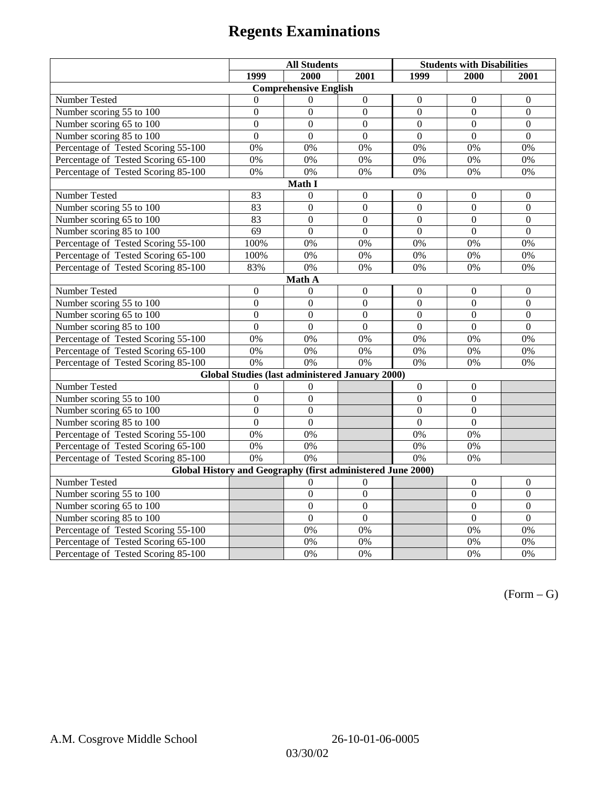# **Regents Examinations**

|                                                             | <b>All Students</b> |                  | <b>Students with Disabilities</b> |                  |                  |                  |  |  |
|-------------------------------------------------------------|---------------------|------------------|-----------------------------------|------------------|------------------|------------------|--|--|
|                                                             | 1999                | 2000             | 2001                              | 1999             | 2000             | 2001             |  |  |
| <b>Comprehensive English</b>                                |                     |                  |                                   |                  |                  |                  |  |  |
| Number Tested                                               | $\theta$            | $\Omega$         | $\boldsymbol{0}$                  | $\boldsymbol{0}$ | $\boldsymbol{0}$ | $\boldsymbol{0}$ |  |  |
| Number scoring 55 to 100                                    | $\boldsymbol{0}$    | $\boldsymbol{0}$ | $\boldsymbol{0}$                  | $\mathbf{0}$     | $\mathbf{0}$     | $\mathbf{0}$     |  |  |
| Number scoring 65 to 100                                    | $\overline{0}$      | $\overline{0}$   | $\overline{0}$                    | $\overline{0}$   | $\overline{0}$   | $\mathbf{0}$     |  |  |
| Number scoring 85 to 100                                    | $\overline{0}$      | $\overline{0}$   | $\overline{0}$                    | $\overline{0}$   | $\overline{0}$   | $\Omega$         |  |  |
| Percentage of Tested Scoring 55-100                         | 0%                  | 0%               | 0%                                | 0%               | 0%               | 0%               |  |  |
| Percentage of Tested Scoring 65-100                         | 0%                  | 0%               | 0%                                | 0%               | 0%               | 0%               |  |  |
| Percentage of Tested Scoring 85-100                         | 0%                  | 0%               | 0%                                | 0%               | 0%               | 0%               |  |  |
|                                                             |                     | Math I           |                                   |                  |                  |                  |  |  |
| <b>Number Tested</b>                                        | 83                  | $\boldsymbol{0}$ | $\boldsymbol{0}$                  | $\boldsymbol{0}$ | $\boldsymbol{0}$ | $\boldsymbol{0}$ |  |  |
| Number scoring 55 to 100                                    | 83                  | $\overline{0}$   | $\overline{0}$                    | $\overline{0}$   | $\mathbf{0}$     | $\mathbf{0}$     |  |  |
| Number scoring 65 to 100                                    | 83                  | $\mathbf{0}$     | $\mathbf{0}$                      | $\overline{0}$   | $\mathbf{0}$     | $\mathbf{0}$     |  |  |
| Number scoring 85 to 100                                    | $\overline{69}$     | $\overline{0}$   | $\overline{0}$                    | $\overline{0}$   | $\overline{0}$   | $\overline{0}$   |  |  |
| Percentage of Tested Scoring 55-100                         | 100%                | 0%               | 0%                                | $0\%$            | 0%               | 0%               |  |  |
| Percentage of Tested Scoring 65-100                         | 100%                | 0%               | 0%                                | 0%               | 0%               | 0%               |  |  |
| Percentage of Tested Scoring 85-100                         | 83%                 | 0%               | 0%                                | $0\%$            | 0%               | 0%               |  |  |
|                                                             |                     | Math A           |                                   |                  |                  |                  |  |  |
| Number Tested                                               | $\boldsymbol{0}$    | $\theta$         | $\boldsymbol{0}$                  | $\boldsymbol{0}$ | $\boldsymbol{0}$ | $\boldsymbol{0}$ |  |  |
| Number scoring 55 to 100                                    | $\boldsymbol{0}$    | $\boldsymbol{0}$ | $\overline{0}$                    | $\overline{0}$   | $\overline{0}$   | $\boldsymbol{0}$ |  |  |
| Number scoring 65 to 100                                    | $\mathbf{0}$        | $\mathbf{0}$     | $\mathbf{0}$                      | $\overline{0}$   | $\mathbf{0}$     | $\boldsymbol{0}$ |  |  |
| Number scoring 85 to 100                                    | $\overline{0}$      | $\overline{0}$   | $\mathbf{0}$                      | $\overline{0}$   | $\mathbf{0}$     | $\mathbf{0}$     |  |  |
| Percentage of Tested Scoring 55-100                         | 0%                  | 0%               | 0%                                | 0%               | 0%               | 0%               |  |  |
| Percentage of Tested Scoring 65-100                         | 0%                  | 0%               | $\overline{0\%}$                  | $\overline{0\%}$ | $\overline{0\%}$ | $\overline{0\%}$ |  |  |
| Percentage of Tested Scoring 85-100                         | 0%                  | 0%               | 0%                                | 0%               | 0%               | 0%               |  |  |
| Global Studies (last administered January 2000)             |                     |                  |                                   |                  |                  |                  |  |  |
| Number Tested                                               | $\boldsymbol{0}$    | $\boldsymbol{0}$ |                                   | $\mathbf{0}$     | $\boldsymbol{0}$ |                  |  |  |
| Number scoring 55 to 100                                    | $\overline{0}$      | $\overline{0}$   |                                   | $\overline{0}$   | $\overline{0}$   |                  |  |  |
| Number scoring 65 to 100                                    | $\mathbf{0}$        | $\mathbf{0}$     |                                   | $\theta$         | $\mathbf{0}$     |                  |  |  |
| Number scoring 85 to 100                                    | $\overline{0}$      | $\mathbf{0}$     |                                   | $\overline{0}$   | $\mathbf{0}$     |                  |  |  |
| Percentage of Tested Scoring 55-100                         | 0%                  | 0%               |                                   | 0%               | 0%               |                  |  |  |
| Percentage of Tested Scoring 65-100                         | 0%                  | 0%               |                                   | $0\%$            | 0%               |                  |  |  |
| Percentage of Tested Scoring 85-100                         | 0%                  | $\overline{0\%}$ |                                   | 0%               | 0%               |                  |  |  |
| Global History and Geography (first administered June 2000) |                     |                  |                                   |                  |                  |                  |  |  |
| Number Tested                                               |                     | 0                | $\overline{0}$                    |                  | $\theta$         | $\mathbf{0}$     |  |  |
| Number scoring 55 to 100                                    |                     | $\boldsymbol{0}$ | $\overline{0}$                    |                  | $\boldsymbol{0}$ | $\boldsymbol{0}$ |  |  |
| Number scoring 65 to 100                                    |                     | $\mathbf{0}$     | $\overline{0}$                    |                  | $\overline{0}$   | $\boldsymbol{0}$ |  |  |
| Number scoring 85 to 100                                    |                     | $\overline{0}$   | $\overline{0}$                    |                  | $\overline{0}$   | $\overline{0}$   |  |  |
| Percentage of Tested Scoring 55-100                         |                     | 0%               | 0%                                |                  | 0%               | 0%               |  |  |
| Percentage of Tested Scoring 65-100                         |                     | 0%               | 0%                                |                  | 0%               | 0%               |  |  |
| Percentage of Tested Scoring 85-100                         |                     | 0%               | 0%                                |                  | 0%               | 0%               |  |  |

 $(Form - G)$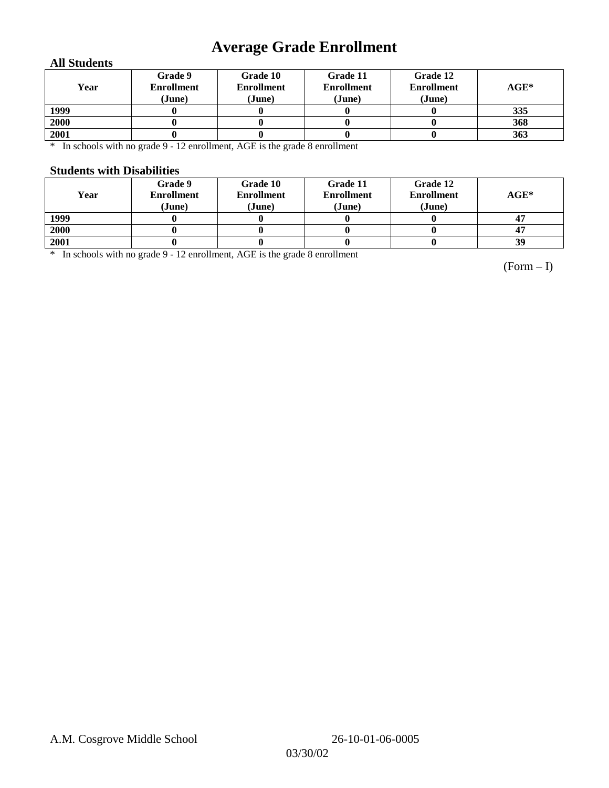# **Average Grade Enrollment**

#### **All Students**

| Year | Grade 9<br><b>Enrollment</b><br>(June) | Grade 10<br><b>Enrollment</b><br>(June) | Grade 11<br><b>Enrollment</b><br>(June) | Grade 12<br><b>Enrollment</b><br>(June) | $AGE^*$ |
|------|----------------------------------------|-----------------------------------------|-----------------------------------------|-----------------------------------------|---------|
| 1999 |                                        |                                         |                                         |                                         | 335     |
| 2000 |                                        |                                         |                                         |                                         | 368     |
| 2001 |                                        |                                         |                                         |                                         | 363     |

\* In schools with no grade 9 - 12 enrollment, AGE is the grade 8 enrollment

#### **Students with Disabilities**

| Year | Grade 9<br><b>Enrollment</b><br>(June) | Grade 10<br><b>Enrollment</b><br>(June) | Grade 11<br><b>Enrollment</b><br>(June) | Grade 12<br><b>Enrollment</b><br>(June) | $AGE^*$ |
|------|----------------------------------------|-----------------------------------------|-----------------------------------------|-----------------------------------------|---------|
| 1999 |                                        |                                         |                                         |                                         |         |
| 2000 |                                        |                                         |                                         |                                         | 47      |
| 2001 |                                        |                                         |                                         |                                         | 39      |

\* In schools with no grade 9 - 12 enrollment, AGE is the grade 8 enrollment

(Form – I)